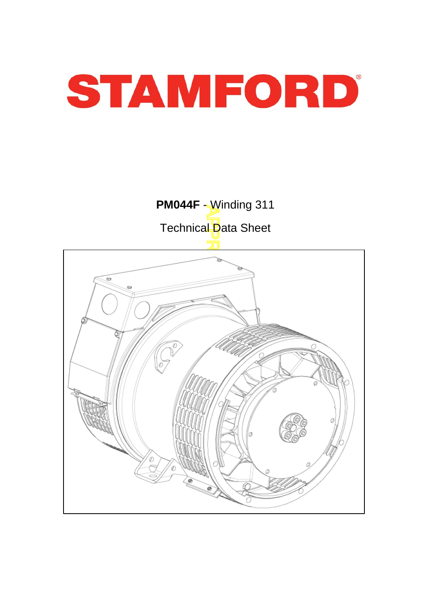

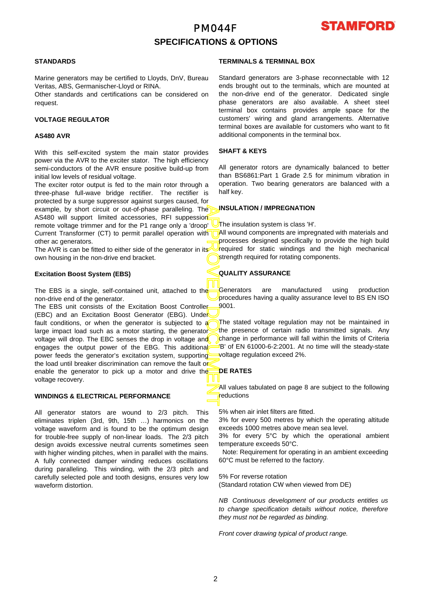# PM044F **SPECIFICATIONS & OPTIONS**



### **STANDARDS**

Marine generators may be certified to Lloyds, DnV, Bureau Veritas, ABS, Germanischer-Lloyd or RINA.

Other standards and certifications can be considered on request.

### **VOLTAGE REGULATOR**

#### **AS480 AVR**

With this self-excited system the main stator provides power via the AVR to the exciter stator. The high efficiency semi-conductors of the AVR ensure positive build-up from initial low levels of residual voltage.

The exciter rotor output is fed to the main rotor through a three-phase full-wave bridge rectifier. The rectifier is protected by a surge suppressor against surges caused, fo r example, by short circuit or out-of-phase paralleling. The AS480 will support limited accessories, RFI suppession remote voltage trimmer and for the P1 range only a 'droop' Current Transformer (CT) to permit parallel operation with other ac generators.

The AVR is can be fitted to either side of the generator in its own housing in the non-drive end bracket.

### **Excitation Boost System (EBS)**

The EBS is a single, self-contained unit, attached to the non-drive end of the generator.

APPROVED DOCUMENT The EBS unit consists of the Excitation Boost Controller (EBC) and an Excitation Boost Generator (EBG). Under fault conditions, or when the generator is subjected to a large impact load such as a motor starting, the generator voltage will drop. The EBC senses the drop in voltage and engages the output power of the EBG. This additional power feeds the generator's excitation system, supporting the load until breaker discrimination can remove the fault or enable the generator to pick up a motor and drive the voltage recovery.

### **WINDINGS & ELECTRICAL PERFORMANCE**

All generator stators are wound to 2/3 pitch. This eliminates triplen (3rd, 9th, 15th …) harmonics on the voltage waveform and is found to be the optimum design for trouble-free supply of non-linear loads. The 2/3 pitch design avoids excessive neutral currents sometimes seen with higher winding pitches, when in parallel with the mains. A fully connected damper winding reduces oscillations during paralleling. This winding, with the 2/3 pitch and carefully selected pole and tooth designs, ensures very low waveform distortion.

### **TERMINALS & TERMINAL BOX**

Standard generators are 3-phase reconnectable with 12 ends brought out to the terminals, which are mounted at the non-drive end of the generator. Dedicated single phase generators are also available. A sheet steel terminal box contains provides ample space for the customers' wiring and gland arrangements. Alternative terminal boxes are available for customers who want to fit additional components in the terminal box.

#### **SHAFT & KEYS**

All generator rotors are dynamically balanced to better than BS6861:Part 1 Grade 2.5 for minimum vibration in operation. Two bearing generators are balanced with a half key.

#### **INSULATION / IMPREGNATION**

The insulation system is class 'H'.

All wound components are impregnated with materials and processes designed specifically to provide the high build required for static windings and the high mechanical strength required for rotating components.

### **QUALITY ASSURANCE**

**Generators** are manufactured using production procedures having a quality assurance level to BS EN ISO 9001.

The stated voltage regulation may not be maintained in the presence of certain radio transmitted signals. Any change in performance will fall within the limits of Criteria 'B' of EN 61000-6-2:2001. At no time will the steady-state voltage regulation exceed 2%.

### **DE RATES**

All values tabulated on page 8 are subject to the following reductions

5% when air inlet filters are fitted.

3% for every 500 metres by which the operating altitude exceeds 1000 metres above mean sea level.

3% for every 5°C by which the operational ambient temperature exceeds 50°C.

 Note: Requirement for operating in an ambient exceeding 60°C must be referred to the factory.

#### 5% For reverse rotation

(Standard rotation CW when viewed from DE)

*NB Continuous development of our products entitles us to change specification details without notice, therefore they must not be regarded as binding.* 

*Front cover drawing typical of product range.*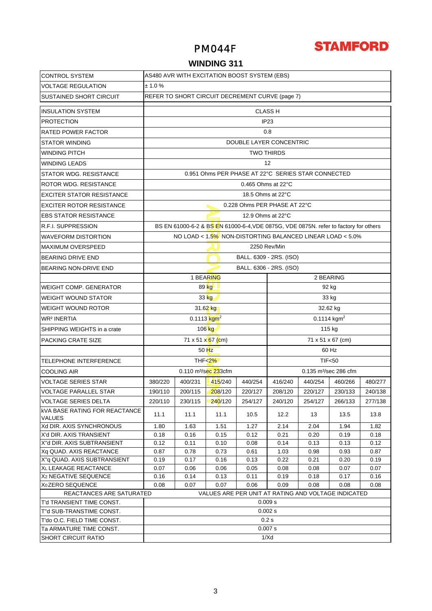

# PM044F

## **WINDING 311**

| <b>CONTROL SYSTEM</b>                                    | AS480 AVR WITH EXCITATION BOOST SYSTEM (EBS)                                                                 |                         |                                    |         |                                                    |         |                                                                                      |              |  |
|----------------------------------------------------------|--------------------------------------------------------------------------------------------------------------|-------------------------|------------------------------------|---------|----------------------------------------------------|---------|--------------------------------------------------------------------------------------|--------------|--|
| <b>VOLTAGE REGULATION</b>                                | ± 1.0%                                                                                                       |                         |                                    |         |                                                    |         |                                                                                      |              |  |
| <b>SUSTAINED SHORT CIRCUIT</b>                           | REFER TO SHORT CIRCUIT DECREMENT CURVE (page 7)                                                              |                         |                                    |         |                                                    |         |                                                                                      |              |  |
| <b>INSULATION SYSTEM</b>                                 | <b>CLASS H</b>                                                                                               |                         |                                    |         |                                                    |         |                                                                                      |              |  |
| <b>PROTECTION</b>                                        |                                                                                                              | IP23                    |                                    |         |                                                    |         |                                                                                      |              |  |
| <b>RATED POWER FACTOR</b>                                |                                                                                                              |                         |                                    |         | 0.8                                                |         |                                                                                      |              |  |
| <b>STATOR WINDING</b>                                    |                                                                                                              | DOUBLE LAYER CONCENTRIC |                                    |         |                                                    |         |                                                                                      |              |  |
| <b>WINDING PITCH</b>                                     |                                                                                                              | <b>TWO THIRDS</b>       |                                    |         |                                                    |         |                                                                                      |              |  |
| <b>WINDING LEADS</b>                                     |                                                                                                              |                         |                                    |         | 12                                                 |         |                                                                                      |              |  |
|                                                          |                                                                                                              |                         |                                    |         | 0.951 Ohms PER PHASE AT 22°C SERIES STAR CONNECTED |         |                                                                                      |              |  |
| STATOR WDG. RESISTANCE                                   |                                                                                                              |                         |                                    |         |                                                    |         |                                                                                      |              |  |
| ROTOR WDG. RESISTANCE                                    |                                                                                                              |                         |                                    |         | 0.465 Ohms at 22°C                                 |         |                                                                                      |              |  |
| <b>EXCITER STATOR RESISTANCE</b>                         |                                                                                                              |                         |                                    |         | 18.5 Ohms at 22°C                                  |         |                                                                                      |              |  |
| <b>EXCITER ROTOR RESISTANCE</b>                          |                                                                                                              |                         |                                    |         | 0.228 Ohms PER PHASE AT 22°C                       |         |                                                                                      |              |  |
| <b>EBS STATOR RESISTANCE</b>                             |                                                                                                              |                         |                                    |         | 12.9 Ohms at 22°C                                  |         |                                                                                      |              |  |
| <b>R.F.I. SUPPRESSION</b>                                |                                                                                                              |                         |                                    |         |                                                    |         | BS EN 61000-6-2 & BS EN 61000-6-4, VDE 0875G, VDE 0875N. refer to factory for others |              |  |
| <b>WAVEFORM DISTORTION</b>                               |                                                                                                              |                         |                                    |         |                                                    |         | NO LOAD < $1.5\%$ NON-DISTORTING BALANCED LINEAR LOAD < $5.0\%$                      |              |  |
| <b>MAXIMUM OVERSPEED</b>                                 |                                                                                                              |                         |                                    |         | 2250 Rev/Min                                       |         |                                                                                      |              |  |
| <b>BEARING DRIVE END</b>                                 |                                                                                                              |                         |                                    |         | BALL. 6309 - 2RS. (ISO)                            |         |                                                                                      |              |  |
| BEARING NON-DRIVE END                                    |                                                                                                              |                         |                                    |         | BALL. 6306 - 2RS. (ISO)                            |         |                                                                                      |              |  |
|                                                          |                                                                                                              |                         | 1 BEARING                          |         |                                                    |         | 2 BEARING                                                                            |              |  |
| <b>WEIGHT COMP. GENERATOR</b>                            |                                                                                                              |                         | 89 kg                              |         |                                                    |         | 92 kg                                                                                |              |  |
| <b>WEIGHT WOUND STATOR</b>                               |                                                                                                              |                         | $33$ kg                            |         |                                                    | 33 kg   |                                                                                      |              |  |
| <b>WEIGHT WOUND ROTOR</b>                                | 31.62 kg<br>32.62 kg                                                                                         |                         |                                    |         |                                                    |         |                                                                                      |              |  |
| <b>WR<sup>2</sup> INERTIA</b>                            | $0.1114$ kgm <sup>2</sup><br>$0.1113$ kgm <sup>2</sup>                                                       |                         |                                    |         |                                                    |         |                                                                                      |              |  |
| SHIPPING WEIGHTS in a crate                              | $106$ kg<br>115 kg                                                                                           |                         |                                    |         |                                                    |         |                                                                                      |              |  |
| PACKING CRATE SIZE                                       | 71 x 51 x 67 (cm)<br>71 x 51 x 67 (cm)                                                                       |                         |                                    |         |                                                    |         |                                                                                      |              |  |
|                                                          |                                                                                                              |                         |                                    |         |                                                    |         |                                                                                      |              |  |
|                                                          | $50$ Hz<br>60 Hz                                                                                             |                         |                                    |         |                                                    |         |                                                                                      |              |  |
| <b>TELEPHONE INTERFERENCE</b>                            |                                                                                                              |                         | THF<2%                             |         |                                                    |         | <b>TIF&lt;50</b>                                                                     |              |  |
| <b>COOLING AIR</b>                                       |                                                                                                              |                         | $0.110$ m <sup>3</sup> /sec 233cfm |         | 0.135 m <sup>3</sup> /sec 286 cfm                  |         |                                                                                      |              |  |
| <b>VOLTAGE SERIES STAR</b>                               | 380/220                                                                                                      | 400/231                 | 415/240                            | 440/254 | 416/240                                            | 440/254 | 460/266                                                                              | 480/277      |  |
| <b>VOLTAGE PARALLEL STAR</b>                             | 190/110                                                                                                      | 200/115                 | 208/120                            | 220/127 | 208/120                                            | 220/127 | 230/133                                                                              | 240/138      |  |
| <b>VOLTAGE SERIES DELTA</b>                              | 220/110                                                                                                      | 230/115                 | 240/120                            | 254/127 | 240/120                                            | 254/127 | 266/133                                                                              | 277/138      |  |
| <b>KVA BASE RATING FOR REACTANCE</b><br><b>VALUES</b>    | 11.1                                                                                                         | 11.1                    | 11.1                               | 10.5    | 12.2                                               | 13      | 13.5                                                                                 | 13.8         |  |
| Xd DIR. AXIS SYNCHRONOUS                                 | 1.80                                                                                                         | 1.63                    | 1.51                               | 1.27    | 2.14                                               | 2.04    | 1.94                                                                                 | 1.82         |  |
| X'd DIR. AXIS TRANSIENT                                  | 0.18                                                                                                         | 0.16                    | 0.15                               | 0.12    | 0.21                                               | 0.20    | 0.19                                                                                 | 0.18         |  |
| X"d DIR. AXIS SUBTRANSIENT                               | 0.12                                                                                                         | 0.11                    | 0.10                               | 0.08    | 0.14                                               | 0.13    | 0.13                                                                                 | 0.12         |  |
| Xq QUAD. AXIS REACTANCE                                  | 0.87                                                                                                         | 0.78                    | 0.73                               | 0.61    | 1.03                                               | 0.98    | 0.93                                                                                 | 0.87         |  |
| X"q QUAD. AXIS SUBTRANSIENT                              | 0.19                                                                                                         | 0.17                    | 0.16                               | 0.13    | 0.22                                               | 0.21    | 0.20                                                                                 | 0.19         |  |
| XL LEAKAGE REACTANCE<br>X <sub>2</sub> NEGATIVE SEQUENCE | 0.07                                                                                                         | 0.06                    | 0.06                               | 0.05    | 0.08                                               | 0.08    | 0.07                                                                                 | 0.07<br>0.16 |  |
| X <sub>0</sub> ZERO SEQUENCE                             | 0.16<br>0.14<br>0.11<br>0.19<br>0.17<br>0.13<br>0.18<br>0.08<br>0.07<br>0.07<br>0.06<br>0.09<br>0.08<br>0.08 |                         |                                    |         |                                                    | 0.08    |                                                                                      |              |  |
| REACTANCES ARE SATURATED                                 |                                                                                                              |                         |                                    |         |                                                    |         | VALUES ARE PER UNIT AT RATING AND VOLTAGE INDICATED                                  |              |  |
| T'd TRANSIENT TIME CONST.                                |                                                                                                              |                         |                                    |         | 0.009 s                                            |         |                                                                                      |              |  |
| T"d SUB-TRANSTIME CONST.                                 |                                                                                                              |                         |                                    |         | 0.002 s                                            |         |                                                                                      |              |  |
| T'do O.C. FIELD TIME CONST.                              |                                                                                                              |                         |                                    |         | 0.2s                                               |         |                                                                                      |              |  |
| Ta ARMATURE TIME CONST.                                  |                                                                                                              |                         |                                    |         | 0.007 s                                            |         |                                                                                      |              |  |
| <b>SHORT CIRCUIT RATIO</b>                               | 1/Xd                                                                                                         |                         |                                    |         |                                                    |         |                                                                                      |              |  |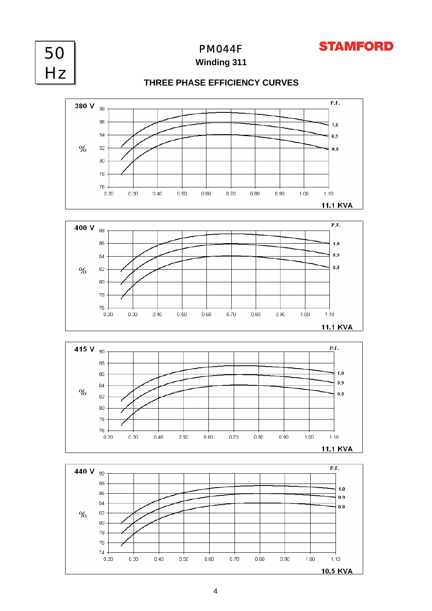



PM044F

**Winding 311**

## **THREE PHASE EFFICIENCY CURVES**







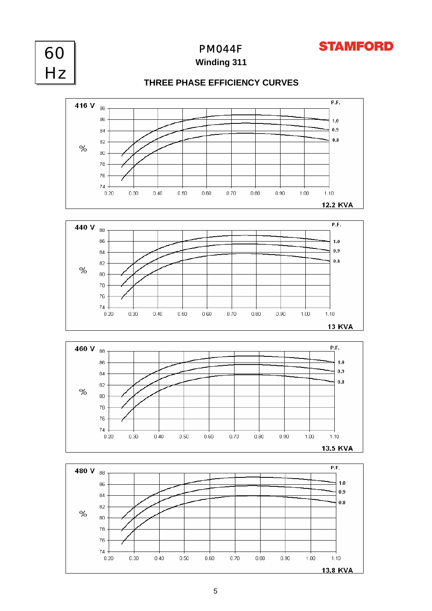



PM044F

**Winding 311**









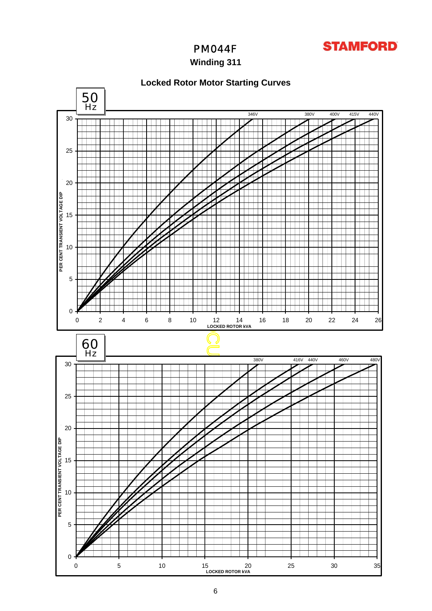

# PM044F

## **Winding 311**

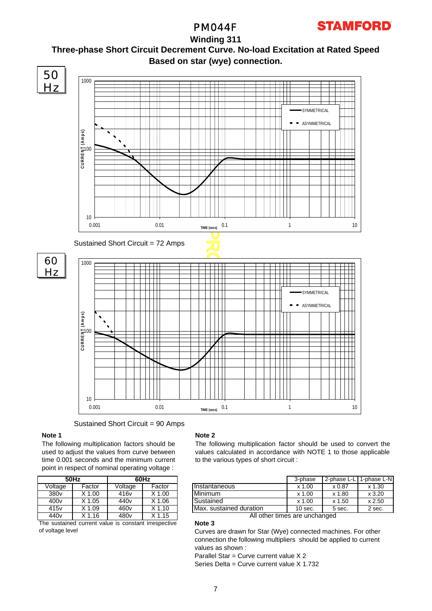

PM044F

## **Winding 311 Three-phase Short Circuit Decrement Curve. No-load Excitation at Rated Speed Based on star (wye) connection.**



Sustained Short Circuit = 90 Amps

### **Note 1**

The following multiplication factors should be used to adjust the values from curve between time 0.001 seconds and the minimum current point in respect of nominal operating voltage :

|                                                      | 50Hz              | 60Hz             |                   |  |  |  |
|------------------------------------------------------|-------------------|------------------|-------------------|--|--|--|
| Voltage                                              | Factor            | Voltage          | Factor            |  |  |  |
| 380 <sub>v</sub>                                     | $X$ 1.00          | 416 <sub>v</sub> | $X$ 1.00          |  |  |  |
| 400 <sub>v</sub>                                     | $X$ 1.05          | 440 <sub>v</sub> | $X$ 1.06          |  |  |  |
| 415 <sub>v</sub>                                     | X 1.09            | 460 <sub>v</sub> | $X$ 1.10          |  |  |  |
| 440 <sub>v</sub>                                     | X <sub>1.16</sub> | 480 <sub>v</sub> | X <sub>1.15</sub> |  |  |  |
| The sustained current value is constant irrespective |                   |                  |                   |  |  |  |

rrent value is constant irrespective of voltage level

#### **Note 2**

The following multiplication factor should be used to convert the values calculated in accordance with NOTE 1 to those applicable to the various types of short circuit :

| 60Hz |        |                         | 3-phase   | 2-phase L-L   | 1-phase L-NI |
|------|--------|-------------------------|-----------|---------------|--------------|
| ge   | Factor | Instantaneous           | $x$ 1.00  | $\times 0.87$ | $x$ 1.30     |
| v    | 1.00   | Minimum                 | $x$ 1.00  | x 1.80        | x3.20        |
|      | 1.06   | Sustained               | $x$ 1.00  | x 1.50        | x 2.50       |
|      | K 1.10 | Max. sustained duration | $10$ sec. | 5 sec.        | 2 sec.       |

All other times are unchanged

**Note 3** Curves are drawn for Star (Wye) connected machines. For other connection the following multipliers should be applied to current values as shown :

Parallel Star = Curve current value X 2

Series Delta = Curve current value X 1.732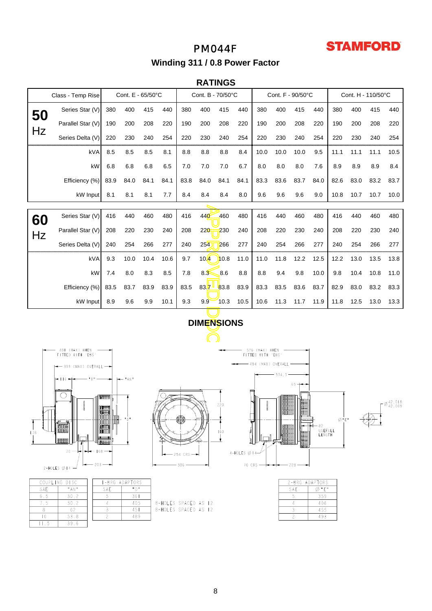# **STAMFORD**

# PM044F **Winding 311 / 0.8 Power Factor**

## **RATINGS**

|    | Class - Temp Rise     |              | Cont. E - 65/50°C |      |      | Cont. B - 70/50°C |                   | Cont. F - 90/50°C |      |                                         | Cont. H - 110/50°C           |              |      |      |      |      |             |
|----|-----------------------|--------------|-------------------|------|------|-------------------|-------------------|-------------------|------|-----------------------------------------|------------------------------|--------------|------|------|------|------|-------------|
| 50 | Series Star (V)       | 380          | 400               | 415  | 440  | 380               | 400               | 415               | 440  | 380                                     | 400                          | 415          | 440  | 380  | 400  | 415  | 440         |
|    | Parallel Star (V)     | 190          | 200               | 208  | 220  | 190               | 200               | 208               | 220  | 190                                     | 200                          | 208          | 220  | 190  | 200  | 208  | 220         |
| Hz | Series Delta (V)      | 220          | 230               | 240  | 254  | 220               | 230               | 240               | 254  | 220                                     | 230                          | 240          | 254  | 220  | 230  | 240  | 254         |
|    | kVA                   | 8.5          | 8.5               | 8.5  | 8.1  | 8.8               | 8.8               | 8.8               | 8.4  | 10.0                                    | 10.0                         | 10.0         | 9.5  | 11.1 | 11.1 | 11.1 | 10.5        |
|    | kW                    | 6.8          | 6.8               | 6.8  | 6.5  | 7.0               | 7.0               | 7.0               | 6.7  | 8.0                                     | 8.0                          | 8.0          | 7.6  | 8.9  | 8.9  | 8.9  | 8.4         |
|    | Efficiency (%)        | 83.9         | 84.0              | 84.1 | 84.1 | 83.8              | 84.0              | 84.1              | 84.1 | 83.3                                    | 83.6                         | 83.7         | 84.0 | 82.6 | 83.0 | 83.2 | 83.7        |
|    | kW Input              | 8.1          | 8.1               | 8.1  | 7.7  | 8.4               | 8.4               | 8.4               | 8.0  | 9.6                                     | 9.6                          | 9.6          | 9.0  | 10.8 | 10.7 | 10.7 | 10.0        |
|    |                       |              |                   |      |      |                   |                   |                   |      |                                         |                              |              |      |      |      |      |             |
| 60 | Series Star (V)       | 416          | 440               | 460  | 480  | 416               | 440               | 460               | 480  | 416                                     | 440                          | 460          | 480  | 416  | 440  | 460  | 480         |
| Hz | Parallel Star (V)     | 208          | 220               | 230  | 240  | 208               | 220               | 230               | 240  | 208                                     | 220                          | 230          | 240  | 208  | 220  | 230  | 240         |
|    | Series Delta (V)      | 240          | 254               | 266  | 277  | 240               | 254               | 266               | 277  | 240                                     | 254                          | 266          | 277  | 240  | 254  | 266  | 277         |
|    | kVA                   | 9.3          | 10.0              | 10.4 | 10.6 | 9.7               | 10.4              | 10.8              | 11.0 | 11.0                                    | 11.8                         | 12.2         | 12.5 | 12.2 | 13.0 | 13.5 | 13.8        |
|    | kW                    | 7.4          | 8.0               | 8.3  | 8.5  | 7.8               | 8.3               | 8.6               | 8.8  | 8.8                                     | 9.4                          | 9.8          | 10.0 | 9.8  | 10.4 | 10.8 | 11.0        |
|    | Efficiency (%)        | 83.5         | 83.7              | 83.9 | 83.9 | 83.5              | $83.7^{\circ}$    | 83.8              | 83.9 | 83.3                                    | 83.5                         | 83.6         | 83.7 | 82.9 | 83.0 | 83.2 | 83.3        |
|    | kW Input              | 8.9          | 9.6               | 9.9  | 10.1 | 9.3               | 9.9               | 10.3              | 10.5 | 10.6                                    | 11.3                         | 11.7         | 11.9 | 11.8 | 12.5 | 13.0 | 13.3        |
|    |                       |              |                   |      |      |                   | <b>DIMENSIONS</b> |                   |      |                                         |                              |              |      |      |      |      |             |
|    |                       |              |                   |      |      |                   |                   |                   |      |                                         |                              |              |      |      |      |      |             |
|    | (MAX) WHEN<br>481     |              |                   |      |      |                   |                   |                   |      | 576 (MAX) WHEN                          |                              |              |      |      |      |      |             |
|    | FITTED WITH 'EBS      |              |                   |      |      |                   |                   |                   |      | FITTED WITH 'EBS<br>- 494 (MAX) OVERALL |                              |              |      |      |      |      |             |
|    | ← 399 (MAX) OVERALL → |              |                   |      |      |                   |                   |                   |      |                                         | $-374,5$                     |              |      |      |      |      |             |
|    |                       |              | "AN"              |      |      |                   |                   |                   |      |                                         |                              | $65 +$       |      |      |      |      |             |
|    |                       | <b>ATTER</b> |                   |      |      |                   |                   |                   |      |                                         | <b>11 5666666</b><br>MacQooo | nov'<br>YARA |      |      |      |      | $-0.42.018$ |



| COUPLING DISC |             | <b>I-BRG ADAPTORS</b> |                          |  |  |  |
|---------------|-------------|-----------------------|--------------------------|--|--|--|
| SAF.          | $"$ A N $"$ | SAF.                  | $\cap$ H<br>$\mathbf{H}$ |  |  |  |
| 65            | 30.2        |                       | 361                      |  |  |  |
|               | 30.2        |                       | 405                      |  |  |  |
|               |             |                       | 451                      |  |  |  |
|               | 53.8        |                       | 489                      |  |  |  |
|               | 39.6        |                       |                          |  |  |  |



| 8-HOLES SPACED AS 12 |  |  |
|----------------------|--|--|
| 8-HOLES SPACED AS 12 |  |  |
|                      |  |  |



 $\Gamma^{\emptyset}$ <sup>42,018</sup>

|     | 2-BRG ADAP <b>T</b> ORS |
|-----|-------------------------|
| SAF | "F"                     |
| 5   | 359                     |
|     | 406                     |
|     | 455                     |
|     | 493                     |